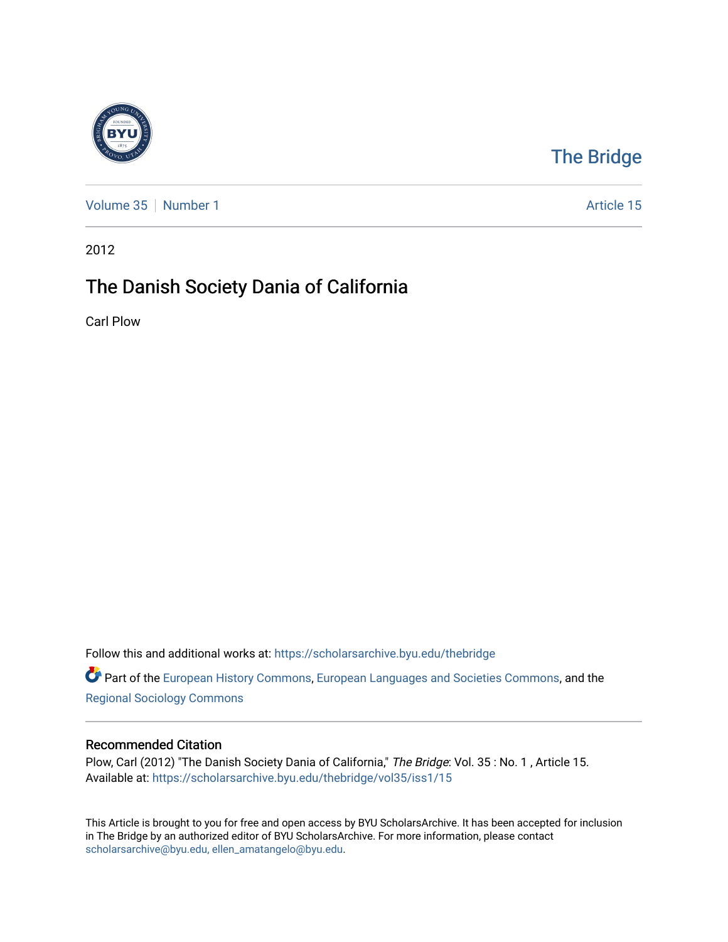

## [The Bridge](https://scholarsarchive.byu.edu/thebridge)

[Volume 35](https://scholarsarchive.byu.edu/thebridge/vol35) [Number 1](https://scholarsarchive.byu.edu/thebridge/vol35/iss1) Article 15

2012

## The Danish Society Dania of California

Carl Plow

Follow this and additional works at: [https://scholarsarchive.byu.edu/thebridge](https://scholarsarchive.byu.edu/thebridge?utm_source=scholarsarchive.byu.edu%2Fthebridge%2Fvol35%2Fiss1%2F15&utm_medium=PDF&utm_campaign=PDFCoverPages) 

Part of the [European History Commons](http://network.bepress.com/hgg/discipline/492?utm_source=scholarsarchive.byu.edu%2Fthebridge%2Fvol35%2Fiss1%2F15&utm_medium=PDF&utm_campaign=PDFCoverPages), [European Languages and Societies Commons,](http://network.bepress.com/hgg/discipline/482?utm_source=scholarsarchive.byu.edu%2Fthebridge%2Fvol35%2Fiss1%2F15&utm_medium=PDF&utm_campaign=PDFCoverPages) and the [Regional Sociology Commons](http://network.bepress.com/hgg/discipline/427?utm_source=scholarsarchive.byu.edu%2Fthebridge%2Fvol35%2Fiss1%2F15&utm_medium=PDF&utm_campaign=PDFCoverPages) 

## Recommended Citation

Plow, Carl (2012) "The Danish Society Dania of California," The Bridge: Vol. 35: No. 1, Article 15. Available at: [https://scholarsarchive.byu.edu/thebridge/vol35/iss1/15](https://scholarsarchive.byu.edu/thebridge/vol35/iss1/15?utm_source=scholarsarchive.byu.edu%2Fthebridge%2Fvol35%2Fiss1%2F15&utm_medium=PDF&utm_campaign=PDFCoverPages)

This Article is brought to you for free and open access by BYU ScholarsArchive. It has been accepted for inclusion in The Bridge by an authorized editor of BYU ScholarsArchive. For more information, please contact [scholarsarchive@byu.edu, ellen\\_amatangelo@byu.edu](mailto:scholarsarchive@byu.edu,%20ellen_amatangelo@byu.edu).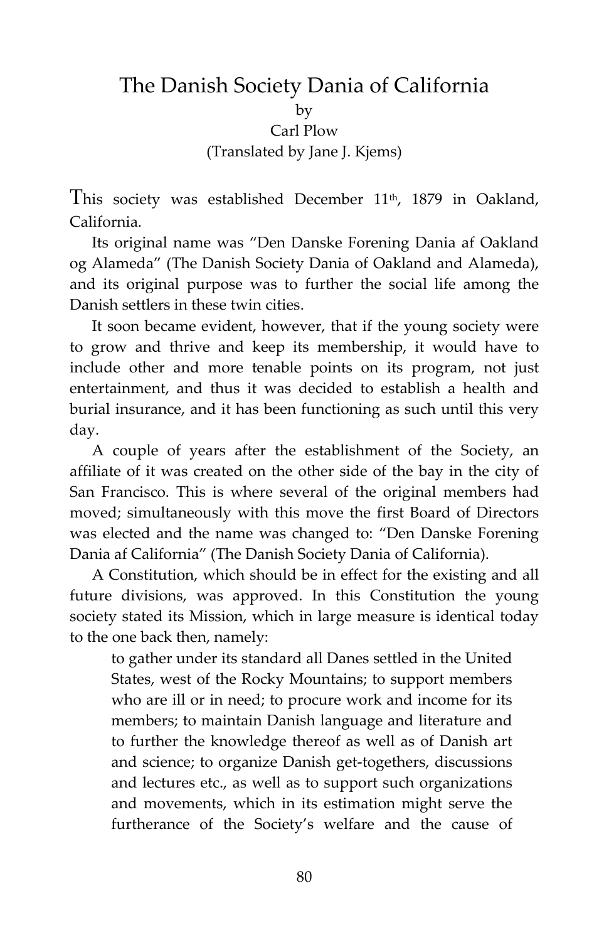## The Danish Society Dania of California by Carl Plow (Translated by Jane J. Kjems)

This society was established December 11<sup>th</sup>, 1879 in Oakland, California.

Its original name was "Den Danske Forening Dania af Oakland og Alameda" (The Danish Society Dania of Oakland and Alameda), and its original purpose was to further the social life among the Danish settlers in these twin cities.

It soon became evident, however, that if the young society were to grow and thrive and keep its membership, it would have to include other and more tenable points on its program, not just entertainment, and thus it was decided to establish a health and burial insurance, and it has been functioning as such until this very day.

A couple of years after the establishment of the Society, an affiliate of it was created on the other side of the bay in the city of San Francisco. This is where several of the original members had moved; simultaneously with this move the first Board of Directors was elected and the name was changed to: "Den Danske Forening Dania af California" (The Danish Society Dania of California).

A Constitution, which should be in effect for the existing and all future divisions, was approved. In this Constitution the young society stated its Mission, which in large measure is identical today to the one back then, namely:

to gather under its standard all Danes settled in the United States, west of the Rocky Mountains; to support members who are ill or in need; to procure work and income for its members; to maintain Danish language and literature and to further the knowledge thereof as well as of Danish art and science; to organize Danish get-togethers, discussions and lectures etc., as well as to support such organizations and movements, which in its estimation might serve the furtherance of the Society's welfare and the cause of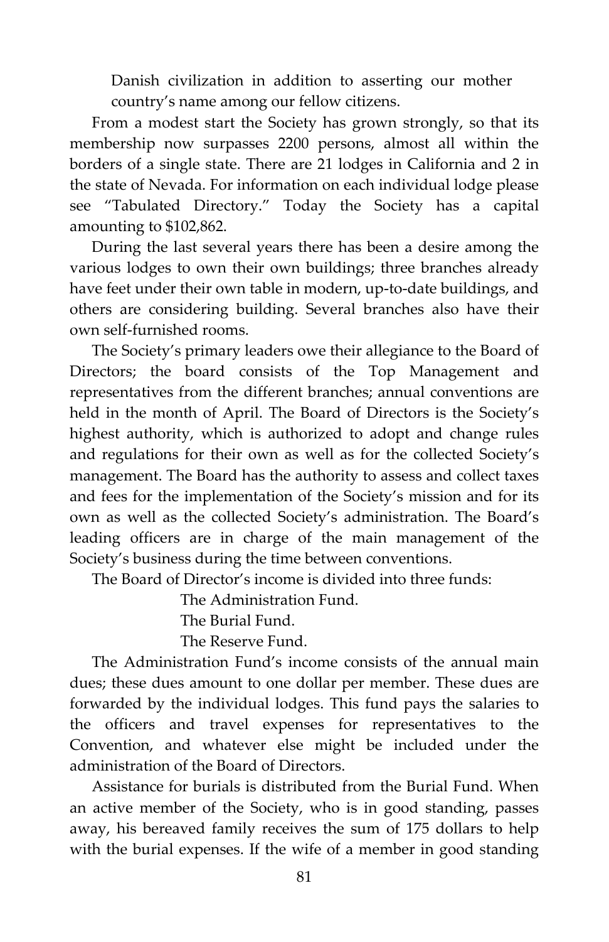Danish civilization in addition to asserting our mother country's name among our fellow citizens.

From a modest start the Society has grown strongly, so that its membership now surpasses 2200 persons, almost all within the borders of a single state. There are 21 lodges in California and 2 in the state of Nevada. For information on each individual lodge please see "Tabulated Directory." Today the Society has a capital amounting to \$102,862.

During the last several years there has been a desire among the various lodges to own their own buildings; three branches already have feet under their own table in modern, up-to-date buildings, and others are considering building. Several branches also have their own self-furnished rooms.

The Society's primary leaders owe their allegiance to the Board of Directors; the board consists of the Top Management and representatives from the different branches; annual conventions are held in the month of April. The Board of Directors is the Society's highest authority, which is authorized to adopt and change rules and regulations for their own as well as for the collected Society's management. The Board has the authority to assess and collect taxes and fees for the implementation of the Society's mission and for its own as well as the collected Society's administration. The Board's leading officers are in charge of the main management of the Society's business during the time between conventions.

The Board of Director's income is divided into three funds:

The Administration Fund.

The Burial Fund.

The Reserve Fund.

The Administration Fund's income consists of the annual main dues; these dues amount to one dollar per member. These dues are forwarded by the individual lodges. This fund pays the salaries to the officers and travel expenses for representatives to the Convention, and whatever else might be included under the administration of the Board of Directors.

Assistance for burials is distributed from the Burial Fund. When an active member of the Society, who is in good standing, passes away, his bereaved family receives the sum of 175 dollars to help with the burial expenses. If the wife of a member in good standing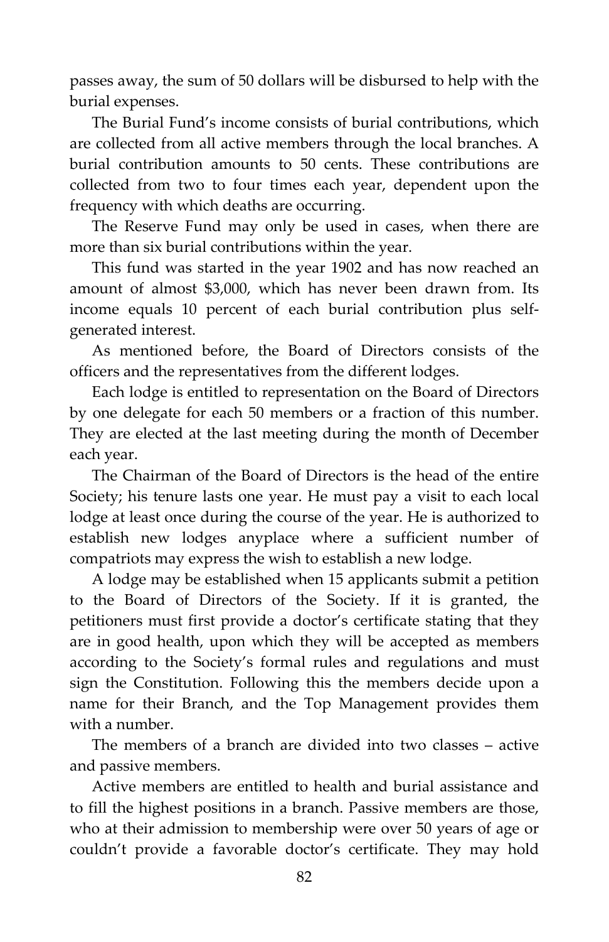passes away, the sum of 50 dollars will be disbursed to help with the burial expenses.

The Burial Fund's income consists of burial contributions, which are collected from all active members through the local branches. A burial contribution amounts to 50 cents. These contributions are collected from two to four times each year, dependent upon the frequency with which deaths are occurring.

The Reserve Fund may only be used in cases, when there are more than six burial contributions within the year.

This fund was started in the year 1902 and has now reached an amount of almost \$3,000, which has never been drawn from. Its income equals 10 percent of each burial contribution plus selfgenerated interest.

As mentioned before, the Board of Directors consists of the officers and the representatives from the different lodges.

Each lodge is entitled to representation on the Board of Directors by one delegate for each 50 members or a fraction of this number. They are elected at the last meeting during the month of December each year.

The Chairman of the Board of Directors is the head of the entire Society; his tenure lasts one year. He must pay a visit to each local lodge at least once during the course of the year. He is authorized to establish new lodges anyplace where a sufficient number of compatriots may express the wish to establish a new lodge.

A lodge may be established when 15 applicants submit a petition to the Board of Directors of the Society. If it is granted, the petitioners must first provide a doctor's certificate stating that they are in good health, upon which they will be accepted as members according to the Society's formal rules and regulations and must sign the Constitution. Following this the members decide upon a name for their Branch, and the Top Management provides them with a number.

The members of a branch are divided into two classes – active and passive members.

Active members are entitled to health and burial assistance and to fill the highest positions in a branch. Passive members are those, who at their admission to membership were over 50 years of age or couldn't provide a favorable doctor's certificate. They may hold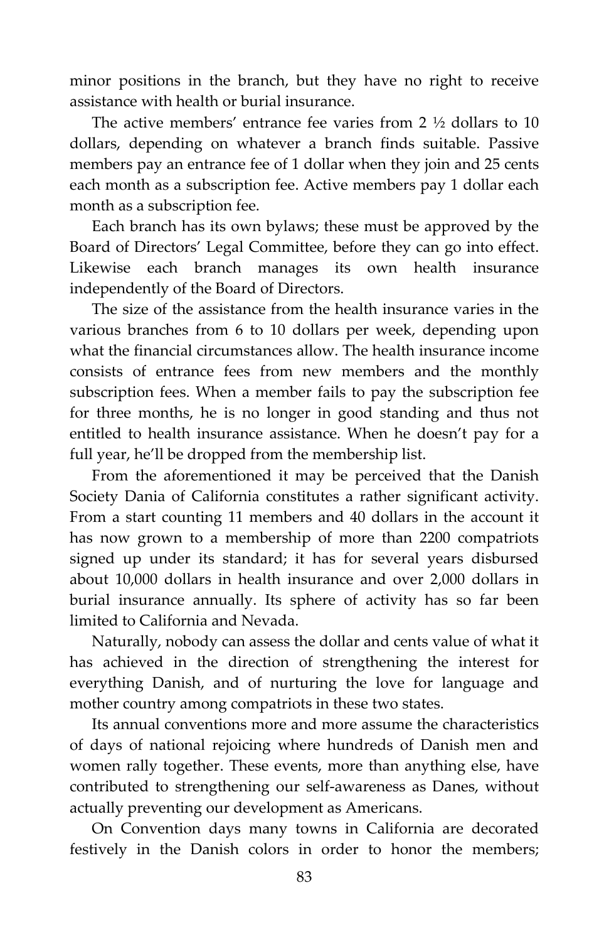minor positions in the branch, but they have no right to receive assistance with health or burial insurance.

The active members' entrance fee varies from 2 ½ dollars to 10 dollars, depending on whatever a branch finds suitable. Passive members pay an entrance fee of 1 dollar when they join and 25 cents each month as a subscription fee. Active members pay 1 dollar each month as a subscription fee.

Each branch has its own bylaws; these must be approved by the Board of Directors' Legal Committee, before they can go into effect. Likewise each branch manages its own health insurance independently of the Board of Directors.

The size of the assistance from the health insurance varies in the various branches from 6 to 10 dollars per week, depending upon what the financial circumstances allow. The health insurance income consists of entrance fees from new members and the monthly subscription fees. When a member fails to pay the subscription fee for three months, he is no longer in good standing and thus not entitled to health insurance assistance. When he doesn't pay for a full year, he'll be dropped from the membership list.

From the aforementioned it may be perceived that the Danish Society Dania of California constitutes a rather significant activity. From a start counting 11 members and 40 dollars in the account it has now grown to a membership of more than 2200 compatriots signed up under its standard; it has for several years disbursed about 10,000 dollars in health insurance and over 2,000 dollars in burial insurance annually. Its sphere of activity has so far been limited to California and Nevada.

Naturally, nobody can assess the dollar and cents value of what it has achieved in the direction of strengthening the interest for everything Danish, and of nurturing the love for language and mother country among compatriots in these two states.

Its annual conventions more and more assume the characteristics of days of national rejoicing where hundreds of Danish men and women rally together. These events, more than anything else, have contributed to strengthening our self-awareness as Danes, without actually preventing our development as Americans.

On Convention days many towns in California are decorated festively in the Danish colors in order to honor the members;